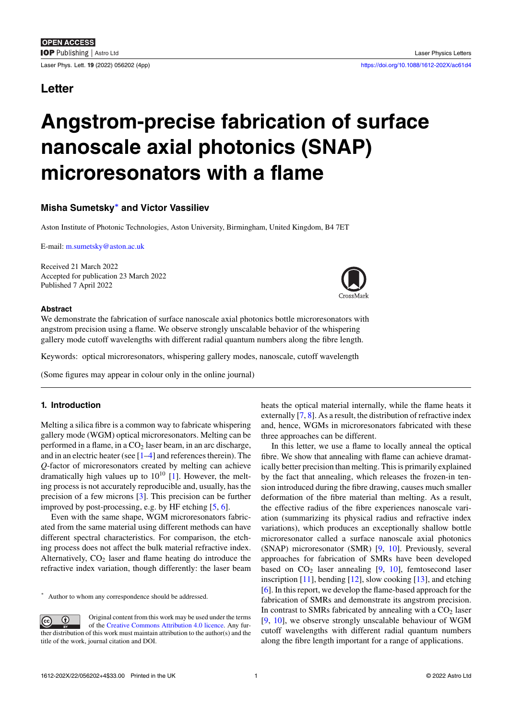# **Letter**

# **Angstrom-precise fabrication of surface nanoscale axial photonics (SNAP) microresonators with a flame**

# **Misha Sumetsky***∗* **and Victor Vassiliev**

Aston Institute of Photonic Technologies, Aston University, Birmingham, United Kingdom, B4 7ET

E-mail: m.sumetsky@a[sto](#page-0-0)n.ac.uk

Received 21 March 2022 Accepted for publication 23 March 2022 Publish[ed 7 April 2022](mailto:m.sumetsky@aston.ac.uk)



#### **Abstract**

We demonstrate the fabrication of surface nanoscale axial photonics bottle microreson[ators with](http://crossmark.crossref.org/dialog/?doi=10.1088/1612-202X/ac61d4&domain=pdf&date_stamp=2022-4-7) angstrom precision using a flame. We observe strongly unscalable behavior of the whispering gallery mode cutoff wavelengths with different radial quantum numbers along the fibre length.

Keywords: optical microresonators, whispering gallery modes, nanoscale, cutoff wavelength

(Some figures may appear in colour only in the online journal)

# **1. Introduction**

Melting a silica fibre is a common way to fabricate whispering gallery mode (WGM) optical microresonators. Melting can be performed in a flame, in a  $CO<sub>2</sub>$  laser beam, in an arc discharge, and in an electric heater (see [1–4] and references therein). The *Q*-factor of microresonators created by melting can achieve dramatically high values up to  $10^{10}$  [1]. However, the melting process is not accurately reproducible and, usually, has the precision of a few microns[[3\]](#page-2-0)[. T](#page-2-1)his precision can be further improved by post-processing, e.g. by HF etching [5, 6].

Even with the same shape, WGM [m](#page-2-0)icroresonators fabricated from the same material using different methods can have different spectral characteri[sti](#page-2-2)cs. For comparison, the etching process does not affect the bulk material refra[ct](#page-2-3)i[ve](#page-2-4) index. Alternatively,  $CO<sub>2</sub>$  laser and flame heating do introduce the refractive index variation, though differently: the laser beam

*∗* Author to whom any correspondence should be addressed.

<span id="page-0-0"></span>Original content from this work may be used under the terms  $\odot$  $_{\rm (cc)}$ of the Creative Commons Attribution 4.0 licence. Any further distribution of this work must maintain attribution to the author(s) and the title of the work, journal citation and DOI.

heats the optical material internally, while the flame heats it externally [7, 8]. As a result, the distribution of refractive index and, hence, WGMs in microresonators fabricated with these three approaches can be different.

In this letter, we use a flame to locally anneal the optical fibre. We s[ho](#page-2-5)[w](#page-2-6) that annealing with flame can achieve dramatically better precision than melting. This is primarily explained by the fact that annealing, which releases the frozen-in tension introduced during the fibre drawing, causes much smaller deformation of the fibre material than melting. As a result, the effective radius of the fibre experiences nanoscale variation (summarizing its physical radius and refractive index variations), which produces an exceptionally shallow bottle microresonator called a surface nanoscale axial photonics (SNAP) microresonator (SMR) [9, 10]. Previously, several approaches for fabrication of SMRs have been developed based on  $CO<sub>2</sub>$  laser annealing [9, 10], femtosecond laser inscription  $[11]$ , bending  $[12]$ , slow cooking  $[13]$ , and etching [6]. In this report, we develop the [fla](#page-2-7)[me-b](#page-2-8)ased approach for the fabrication of SMRs and demonstrate its angstrom precision. In contrast to SMRs fabricated by [an](#page-2-7)[nea](#page-2-8)ling with a  $CO<sub>2</sub>$  laser [9, 10], we [ob](#page-2-9)serve stron[gly](#page-2-10) unscalable beh[avi](#page-3-0)our of WGM [cu](#page-2-4)toff wavelengths with different radial quantum numbers along the fibre length important for a range of applications.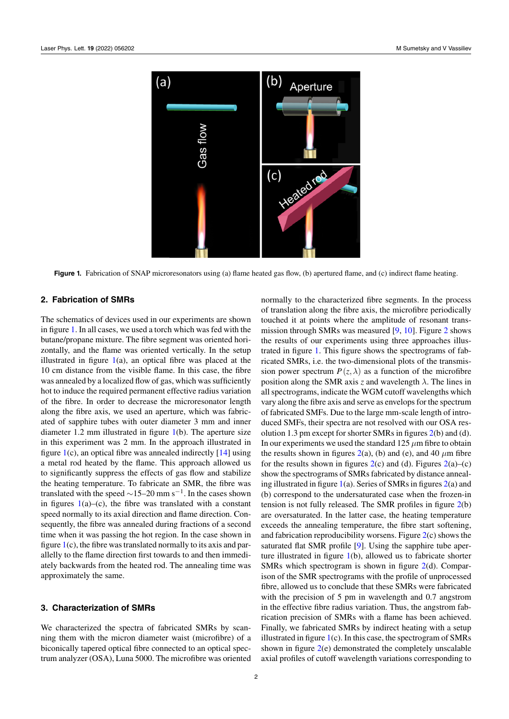<span id="page-1-0"></span>

**Figure 1.** Fabrication of SNAP microresonators using (a) flame heated gas flow, (b) apertured flame, and (c) indirect flame heating.

#### **2. Fabrication of SMRs**

The schematics of devices used in our experiments are shown in figure 1. In all cases, we used a torch which was fed with the butane/propane mixture. The fibre segment was oriented horizontally, and the flame was oriented vertically. In the setup illustrated in figure  $1(a)$ , an optical fibre was placed at the 10 cm d[is](#page-1-0)tance from the visible flame. In this case, the fibre was annealed by a localized flow of gas, which was sufficiently hot to induce the required permanent effective radius variation of the fibre. In orde[r](#page-1-0) to decrease the microresonator length along the fibre axis, we used an aperture, which was fabricated of sapphire tubes with outer diameter 3 mm and inner diameter 1.2 mm illustrated in figure 1(b). The aperture size in this experiment was 2 mm. In the approach illustrated in figure 1(c), an optical fibre was annealed indirectly [14] using a metal rod heated by the flame. This approach allowed us to significantly suppress the effects o[f g](#page-1-0)as flow and stabilize the heating temperature. To fabricate an SMR, the fibre was transl[ate](#page-1-0)d with the speed *∼*15–20 mm s*−*<sup>1</sup> . In the ca[ses](#page-3-1) shown in figures  $1(a)$ –(c), the fibre was translated with a constant speed normally to its axial direction and flame direction. Consequently, the fibre was annealed during fractions of a second time when it was passing the hot region. In the case shown in figure  $1(c)$ [, t](#page-1-0)he fibre was translated normally to its axis and parallelly to the flame direction first towards to and then immediately backwards from the heated rod. The annealing time was approximately the same.

#### **3. Characterization of SMRs**

We characterized the spectra of fabricated SMRs by scanning them with the micron diameter waist (microfibre) of a biconically tapered optical fibre connected to an optical spectrum analyzer (OSA), Luna 5000. The microfibre was oriented

normally to the characterized fibre segments. In the process of translation along the fibre axis, the microfibre periodically touched it at points where the amplitude of resonant transmission through SMRs was measured [9, 10]. Figure 2 shows the results of our experiments using three approaches illustrated in figure 1. This figure shows the spectrograms of fabricated SMRs, i.e. the two-dimensional plots of the transmissi[on](#page-2-8) power spectrum  $P(z, \lambda)$  as a fun[cti](#page-2-7)on of the m[ic](#page-2-11)rofibre position along the SMR axis *z* and wavelength *λ*. The lines in all spectrogram[s,](#page-1-0) indicate the WGM cutoff wavelengths which vary along the fibre axis and serve as envelops for the spectrum of fabricated SMFs. Due to the large mm-scale length of introduced SMFs, their spectra are not resolved with our OSA resolution 1.3 pm except for shorter SMRs in figures 2(b) and (d). In our experiments we used the standard  $125 \mu m$  fibre to obtain the results shown in figures  $2(a)$ , (b) and (e), and 40  $\mu$ m fibre for the results shown in figures  $2(c)$  and (d). Figures  $2(a)$ –(c) show the spectrograms of SMRs fabricated by dist[an](#page-2-11)ce annealing illustrated in figure 1(a). Series of SMRs in figures 2(a) and (b) correspond to the under[sa](#page-2-11)turated case when the frozen-in tension is not fully released. T[he](#page-2-11) SMR profiles in fi[gu](#page-2-11)re 2(b) are oversaturated. In the latter case, the heating temperature exceeds the annealing [te](#page-1-0)mperature, the fibre start s[oft](#page-2-11)ening, and fabrication reproducibility worsens. Figure 2(c) shows the saturated flat SMR profile [9]. Using the sapphire tube [ap](#page-2-11)erture illustrated in figure 1(b), allowed us to fabricate shorter SMRs which spectrogram is shown in figure 2(d). Comparison of the SMR spectrograms with the profile [of](#page-2-11) unprocessed fibre, allowed us to conclud[e](#page-2-7) that these SMRs were fabricated with the precision of 5 [pm](#page-1-0) in wavelength and 0.7 angstrom in the effective fibre radius variation. Thus, th[e a](#page-2-11)ngstrom fabrication precision of SMRs with a flame has been achieved. Finally, we fabricated SMRs by indirect heating with a setup illustrated in figure  $1(c)$ . In this case, the spectrogram of SMRs shown in figure 2(e) demonstrated the completely unscalable axial profiles of cutoff wavelength variations corresponding to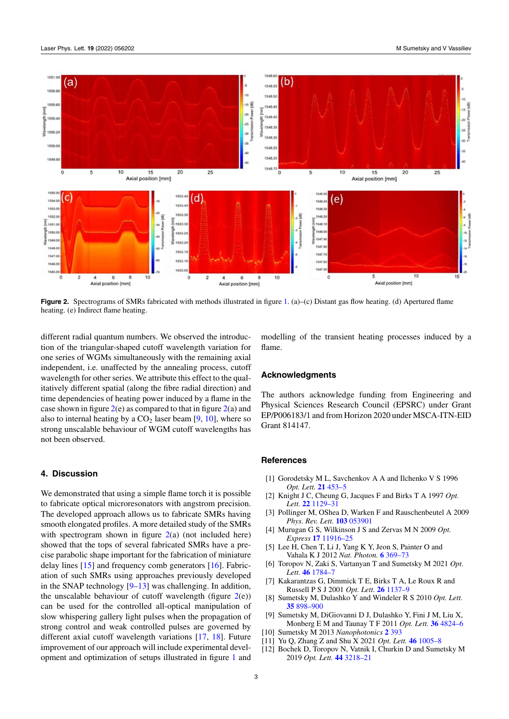<span id="page-2-11"></span>

**Figure 2.** Spectrograms of SMRs fabricated with methods illustrated in figure 1. (a)–(c) Distant gas flow heating. (d) Apertured flame heating. (e) Indirect flame heating.

different radial quantum numbers. We observed the introduction of the triangular-shaped cutoff wavelength variation for one series of WGMs simultaneously with the remaining axial independent, i.e. unaffected by the annealing process, cutoff wavelength for other series. We attribute this effect to the qualitatively different spatial (along the fibre radial direction) and time dependencies of heating power induced by a flame in the case shown in figure  $2(e)$  as compared to that in figure  $2(a)$  and also to internal heating by a  $CO<sub>2</sub>$  laser beam [9, 10], where so strong unscalable behaviour of WGM cutoff wavelengths has not been observed.

## **4. Discussion**

We demonstrated that using a simple flame torch it is possible to fabricate optical microresonators with angstrom precision. The developed approach allows us to fabricate SMRs having smooth elongated profiles. A more detailed study of the SMRs with spectrogram shown in figure  $2(a)$  (not included here) showed that the tops of several fabricated SMRs have a precise parabolic shape important for the fabrication of miniature delay lines [15] and frequency comb generators [16]. Fabrication of such SMRs using approac[he](#page-2-11)s previously developed in the SNAP technology  $[9-13]$  was challenging. In addition, the unscalable behaviour of cutoff wavelength (figure  $2(e)$ ) can be use[d f](#page-3-2)or the controlled all-optical man[ipu](#page-3-3)lation of slow whispering gallery light pulses when the propagation of strong control and weak [c](#page-2-7)[ontr](#page-3-0)olled pulses are governed by different axial cutoff wavelength variations [17, 18]. F[ut](#page-2-11)ure improvement of our approach will include experimental development and optimization of setups illustrated in figure 1 and model[li](#page-1-0)ng of the transient heating processes induced by a flame.

# **Acknowledgments**

The authors acknowledge funding from Engineering and Physical Sciences Research Council (EPSRC) under Grant EP/P006183/1 and from Horizon 2020 under MSCA-ITN-EID Grant 814147.

### **References**

- [1] Gorodetsky M L, Savchenkov A A and Ilchenko V S 1996 *Opt. Lett.* **21** 453–5
- [2] Knight J C, Cheung G, Jacques F and Birks T A 1997 *Opt. Lett.* **22** 1129–31
- <span id="page-2-0"></span>[3] Pollinger M, OShea D, Warken F and Rauschenbeutel A 2009 *Phys. Rev. Lett.* **103** 053901
- [4] Murugan G [S, Wilkins](https://doi.org/10.1364/OL.21.000453)on J S and Zervas M N 2009 *Opt. Express* **17** 11916–25
- <span id="page-2-2"></span>[5] Lee H, [Chen T, Li J,](https://doi.org/10.1364/OL.22.001129) Yang K Y, Jeon S, Painter O and Vahala K J 2012 *Nat. Photon.* **6** 369–73
- <span id="page-2-1"></span>[6] Toropov N, Zaki S[, Vartanyan T](https://doi.org/10.1103/PhysRevLett.103.053901) and Sumetsky M 2021 *Opt. Lett.* **46** 1784–7
- <span id="page-2-3"></span>[7] Kakarantz[as G, Dimmick](https://doi.org/10.1364/OE.17.011916) T E, Birks T A, Le Roux R and Russell P S J 2001 *Opt. Lett.* **26** 1137–9
- <span id="page-2-4"></span>[8] Sumetsky M, Dulashko Y and W[indeler R](https://doi.org/10.1038/nphoton.2012.109) S 2010 *Opt. Lett.* **35** 898–900
- <span id="page-2-5"></span>[9] Sumets[ky M, DiGi](https://doi.org/10.1364/OL.421104)ovanni D J, Dulashko Y, Fini J M, Liu X, Monberg E M and Taunay T F 2011 *Opt. Lett.* **36** 4824–6
- [10] Sumetsky M 2013 *Nanophotoni[cs](https://doi.org/10.1364/OL.26.001137)* **2** [393](https://doi.org/10.1364/OL.26.001137)
- <span id="page-2-6"></span>[11] Yu Q, Zhang Z and Shu X 2021 *Opt. Lett.* **46** 1005–8
- <span id="page-2-10"></span><span id="page-2-9"></span><span id="page-2-8"></span><span id="page-2-7"></span>[12] B[ochek D, Tor](https://doi.org/10.1364/OL.35.000898)opov N, Vatnik I, Churkin D and Sumetsky M 2019 *Opt. Lett.* **44** 3218–21